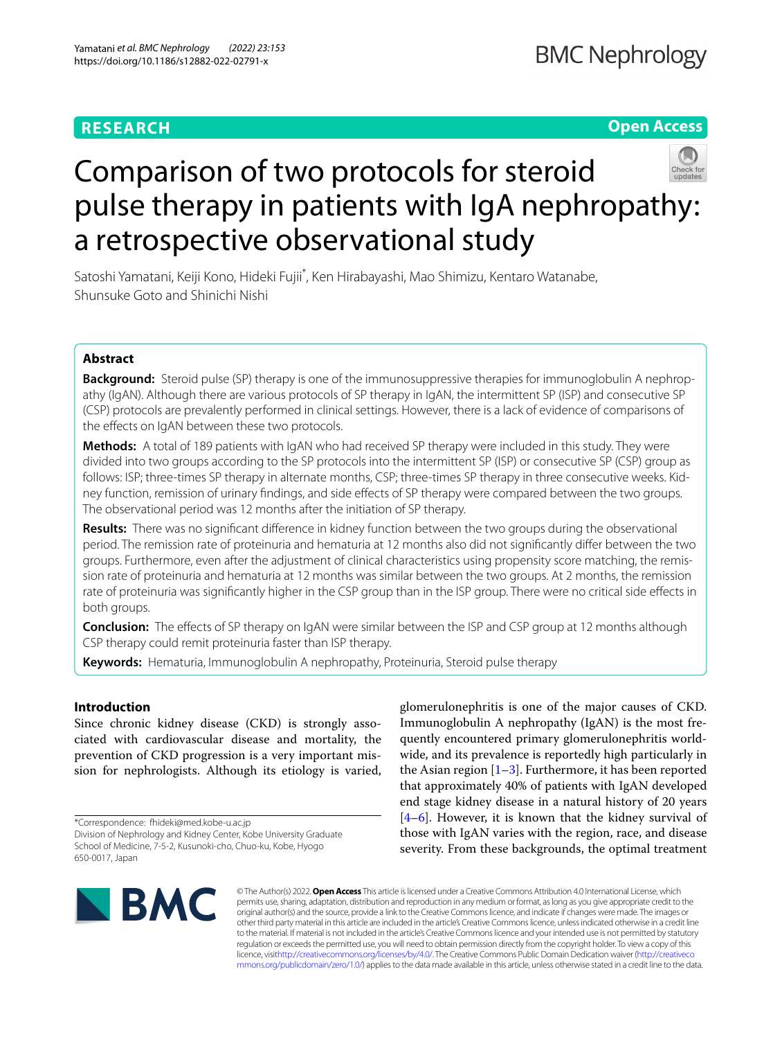# **RESEARCH**

## **Open Access**



# Comparison of two protocols for steroid pulse therapy in patients with IgA nephropathy: a retrospective observational study

Satoshi Yamatani, Keiji Kono, Hideki Fujii<sup>\*</sup>, Ken Hirabayashi, Mao Shimizu, Kentaro Watanabe, Shunsuke Goto and Shinichi Nishi

## **Abstract**

**Background:** Steroid pulse (SP) therapy is one of the immunosuppressive therapies for immunoglobulin A nephropathy (IgAN). Although there are various protocols of SP therapy in IgAN, the intermittent SP (ISP) and consecutive SP (CSP) protocols are prevalently performed in clinical settings. However, there is a lack of evidence of comparisons of the effects on IgAN between these two protocols.

**Methods:** A total of 189 patients with IgAN who had received SP therapy were included in this study. They were divided into two groups according to the SP protocols into the intermittent SP (ISP) or consecutive SP (CSP) group as follows: ISP; three-times SP therapy in alternate months, CSP; three-times SP therapy in three consecutive weeks. Kidney function, remission of urinary fndings, and side efects of SP therapy were compared between the two groups. The observational period was 12 months after the initiation of SP therapy.

**Results:** There was no signifcant diference in kidney function between the two groups during the observational period. The remission rate of proteinuria and hematuria at 12 months also did not signifcantly difer between the two groups. Furthermore, even after the adjustment of clinical characteristics using propensity score matching, the remission rate of proteinuria and hematuria at 12 months was similar between the two groups. At 2 months, the remission rate of proteinuria was signifcantly higher in the CSP group than in the ISP group. There were no critical side efects in both groups.

**Conclusion:** The effects of SP therapy on IgAN were similar between the ISP and CSP group at 12 months although CSP therapy could remit proteinuria faster than ISP therapy.

**Keywords:** Hematuria, Immunoglobulin A nephropathy, Proteinuria, Steroid pulse therapy

## **Introduction**

Since chronic kidney disease (CKD) is strongly associated with cardiovascular disease and mortality, the prevention of CKD progression is a very important mission for nephrologists. Although its etiology is varied,

\*Correspondence: fhideki@med.kobe-u.ac.jp

glomerulonephritis is one of the major causes of CKD. Immunoglobulin A nephropathy (IgAN) is the most frequently encountered primary glomerulonephritis worldwide, and its prevalence is reportedly high particularly in the Asian region  $[1-3]$  $[1-3]$ . Furthermore, it has been reported that approximately 40% of patients with IgAN developed end stage kidney disease in a natural history of 20 years [[4–](#page-7-2)[6\]](#page-7-3). However, it is known that the kidney survival of those with IgAN varies with the region, race, and disease severity. From these backgrounds, the optimal treatment



© The Author(s) 2022. **Open Access** This article is licensed under a Creative Commons Attribution 4.0 International License, which permits use, sharing, adaptation, distribution and reproduction in any medium or format, as long as you give appropriate credit to the original author(s) and the source, provide a link to the Creative Commons licence, and indicate if changes were made. The images or other third party material in this article are included in the article's Creative Commons licence, unless indicated otherwise in a credit line to the material. If material is not included in the article's Creative Commons licence and your intended use is not permitted by statutory regulation or exceeds the permitted use, you will need to obtain permission directly from the copyright holder. To view a copy of this licence, visi[thttp://creativecommons.org/licenses/by/4.0/](http://creativecommons.org/licenses/by/4.0/). The Creative Commons Public Domain Dedication waiver [\(http://creativeco](http://creativecommons.org/publicdomain/zero/1.0/) [mmons.org/publicdomain/zero/1.0/](http://creativecommons.org/publicdomain/zero/1.0/)) applies to the data made available in this article, unless otherwise stated in a credit line to the data.

Division of Nephrology and Kidney Center, Kobe University Graduate School of Medicine, 7-5-2, Kusunoki-cho, Chuo-ku, Kobe, Hyogo 650-0017, Japan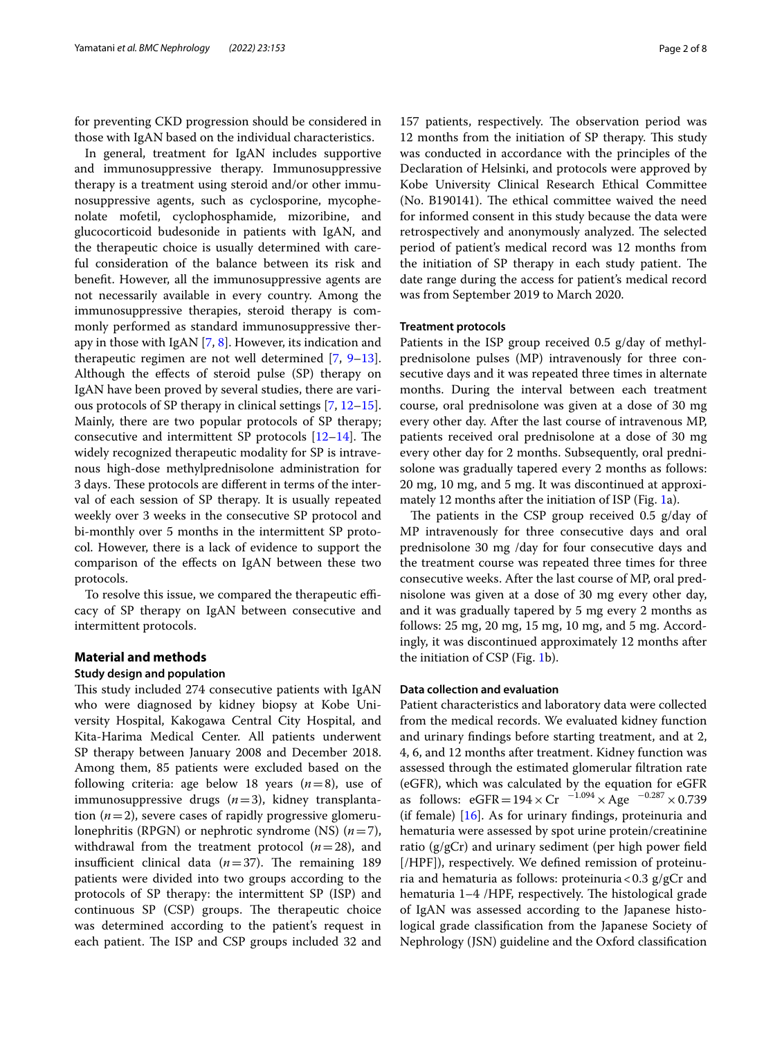for preventing CKD progression should be considered in those with IgAN based on the individual characteristics.

In general, treatment for IgAN includes supportive and immunosuppressive therapy. Immunosuppressive therapy is a treatment using steroid and/or other immunosuppressive agents, such as cyclosporine, mycophenolate mofetil, cyclophosphamide, mizoribine, and glucocorticoid budesonide in patients with IgAN, and the therapeutic choice is usually determined with careful consideration of the balance between its risk and beneft. However, all the immunosuppressive agents are not necessarily available in every country. Among the immunosuppressive therapies, steroid therapy is commonly performed as standard immunosuppressive therapy in those with IgAN [[7,](#page-7-4) [8\]](#page-7-5). However, its indication and therapeutic regimen are not well determined [\[7](#page-7-4), [9](#page-7-6)[–13](#page-7-7)]. Although the efects of steroid pulse (SP) therapy on IgAN have been proved by several studies, there are various protocols of SP therapy in clinical settings [[7,](#page-7-4) [12](#page-7-8)[–15](#page-7-9)]. Mainly, there are two popular protocols of SP therapy; consecutive and intermittent SP protocols  $[12-14]$  $[12-14]$ . The widely recognized therapeutic modality for SP is intravenous high-dose methylprednisolone administration for 3 days. These protocols are different in terms of the interval of each session of SP therapy. It is usually repeated weekly over 3 weeks in the consecutive SP protocol and bi-monthly over 5 months in the intermittent SP protocol. However, there is a lack of evidence to support the comparison of the efects on IgAN between these two protocols.

To resolve this issue, we compared the therapeutic efficacy of SP therapy on IgAN between consecutive and intermittent protocols.

## **Material and methods**

#### **Study design and population**

This study included 274 consecutive patients with IgAN who were diagnosed by kidney biopsy at Kobe University Hospital, Kakogawa Central City Hospital, and Kita-Harima Medical Center. All patients underwent SP therapy between January 2008 and December 2018. Among them, 85 patients were excluded based on the following criteria: age below 18 years (*n*=8), use of immunosuppressive drugs (*n*=3), kidney transplantation  $(n=2)$ , severe cases of rapidly progressive glomerulonephritis (RPGN) or nephrotic syndrome (NS) (*n*=7), withdrawal from the treatment protocol (*n*=28), and insufficient clinical data  $(n=37)$ . The remaining 189 patients were divided into two groups according to the protocols of SP therapy: the intermittent SP (ISP) and  $continuous$   $SP$   $(CSP)$  groups. The therapeutic choice was determined according to the patient's request in each patient. The ISP and CSP groups included 32 and

157 patients, respectively. The observation period was 12 months from the initiation of SP therapy. This study was conducted in accordance with the principles of the Declaration of Helsinki, and protocols were approved by Kobe University Clinical Research Ethical Committee (No. B190141). The ethical committee waived the need for informed consent in this study because the data were retrospectively and anonymously analyzed. The selected period of patient's medical record was 12 months from the initiation of SP therapy in each study patient. The date range during the access for patient's medical record was from September 2019 to March 2020.

## **Treatment protocols**

Patients in the ISP group received 0.5 g/day of methylprednisolone pulses (MP) intravenously for three consecutive days and it was repeated three times in alternate months. During the interval between each treatment course, oral prednisolone was given at a dose of 30 mg every other day. After the last course of intravenous MP, patients received oral prednisolone at a dose of 30 mg every other day for 2 months. Subsequently, oral prednisolone was gradually tapered every 2 months as follows: 20 mg, 10 mg, and 5 mg. It was discontinued at approximately 12 months after the initiation of ISP (Fig. [1](#page-2-0)a).

The patients in the CSP group received  $0.5$  g/day of MP intravenously for three consecutive days and oral prednisolone 30 mg /day for four consecutive days and the treatment course was repeated three times for three consecutive weeks. After the last course of MP, oral prednisolone was given at a dose of 30 mg every other day, and it was gradually tapered by 5 mg every 2 months as follows: 25 mg, 20 mg, 15 mg, 10 mg, and 5 mg. Accordingly, it was discontinued approximately 12 months after the initiation of CSP (Fig. [1](#page-2-0)b).

## **Data collection and evaluation**

Patient characteristics and laboratory data were collected from the medical records. We evaluated kidney function and urinary fndings before starting treatment, and at 2, 4, 6, and 12 months after treatment. Kidney function was assessed through the estimated glomerular fltration rate (eGFR), which was calculated by the equation for eGFR as follows:  $eGFR = 194 \times Cr^{-1.094} \times Age^{-0.287} \times 0.739$ (if female) [[16](#page-7-11)]. As for urinary fndings, proteinuria and hematuria were assessed by spot urine protein/creatinine ratio (g/gCr) and urinary sediment (per high power feld [/HPF]), respectively. We defned remission of proteinuria and hematuria as follows: proteinuria <  $0.3$  g/gCr and hematuria 1-4 /HPF, respectively. The histological grade of IgAN was assessed according to the Japanese histological grade classifcation from the Japanese Society of Nephrology (JSN) guideline and the Oxford classifcation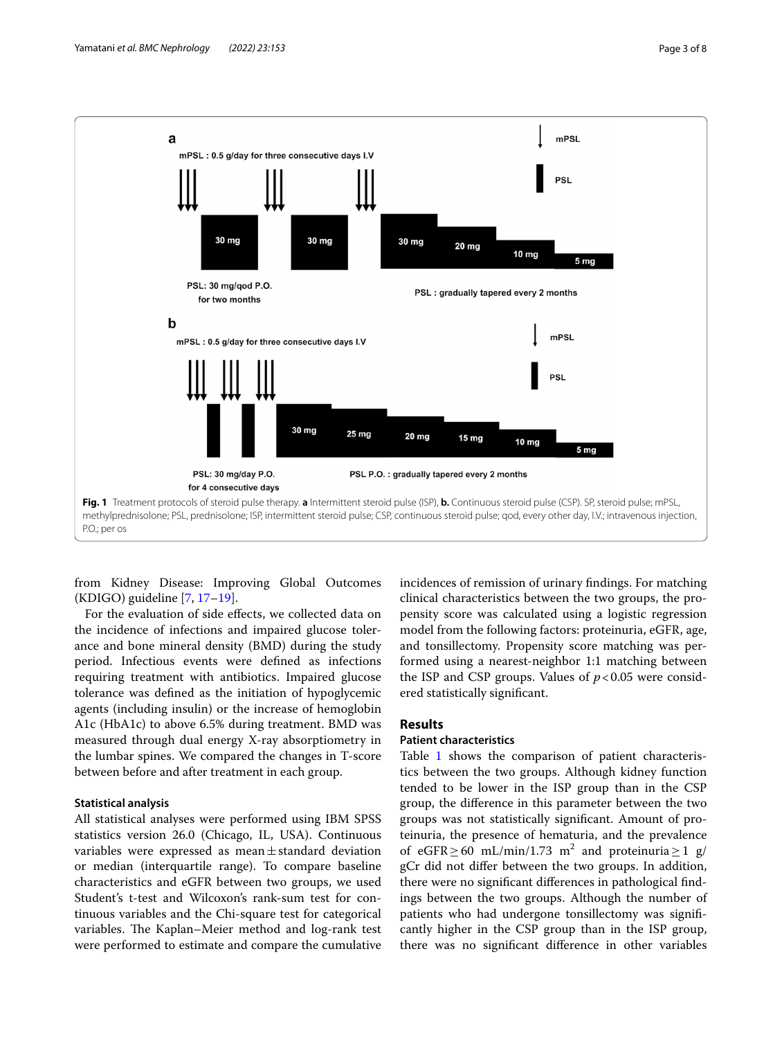

<span id="page-2-0"></span>from Kidney Disease: Improving Global Outcomes (KDIGO) guideline [[7,](#page-7-4) [17](#page-7-12)[–19\]](#page-7-13).

For the evaluation of side efects, we collected data on the incidence of infections and impaired glucose tolerance and bone mineral density (BMD) during the study period. Infectious events were defned as infections requiring treatment with antibiotics. Impaired glucose tolerance was defned as the initiation of hypoglycemic agents (including insulin) or the increase of hemoglobin A1c (HbA1c) to above 6.5% during treatment. BMD was measured through dual energy X-ray absorptiometry in the lumbar spines. We compared the changes in T-score between before and after treatment in each group.

## **Statistical analysis**

All statistical analyses were performed using IBM SPSS statistics version 26.0 (Chicago, IL, USA). Continuous variables were expressed as mean $\pm$ standard deviation or median (interquartile range). To compare baseline characteristics and eGFR between two groups, we used Student's t-test and Wilcoxon's rank-sum test for continuous variables and the Chi-square test for categorical variables. The Kaplan–Meier method and log-rank test were performed to estimate and compare the cumulative incidences of remission of urinary fndings. For matching clinical characteristics between the two groups, the propensity score was calculated using a logistic regression model from the following factors: proteinuria, eGFR, age, and tonsillectomy. Propensity score matching was performed using a nearest-neighbor 1:1 matching between the ISP and CSP groups. Values of  $p < 0.05$  were considered statistically signifcant.

## **Results**

## **Patient characteristics**

Table [1](#page-3-0) shows the comparison of patient characteristics between the two groups. Although kidney function tended to be lower in the ISP group than in the CSP group, the diference in this parameter between the two groups was not statistically signifcant. Amount of proteinuria, the presence of hematuria, and the prevalence of eGFR  $\geq$  60 mL/min/1.73 m<sup>2</sup> and proteinuria  $\geq$  1 g/ gCr did not difer between the two groups. In addition, there were no signifcant diferences in pathological fndings between the two groups. Although the number of patients who had undergone tonsillectomy was signifcantly higher in the CSP group than in the ISP group, there was no signifcant diference in other variables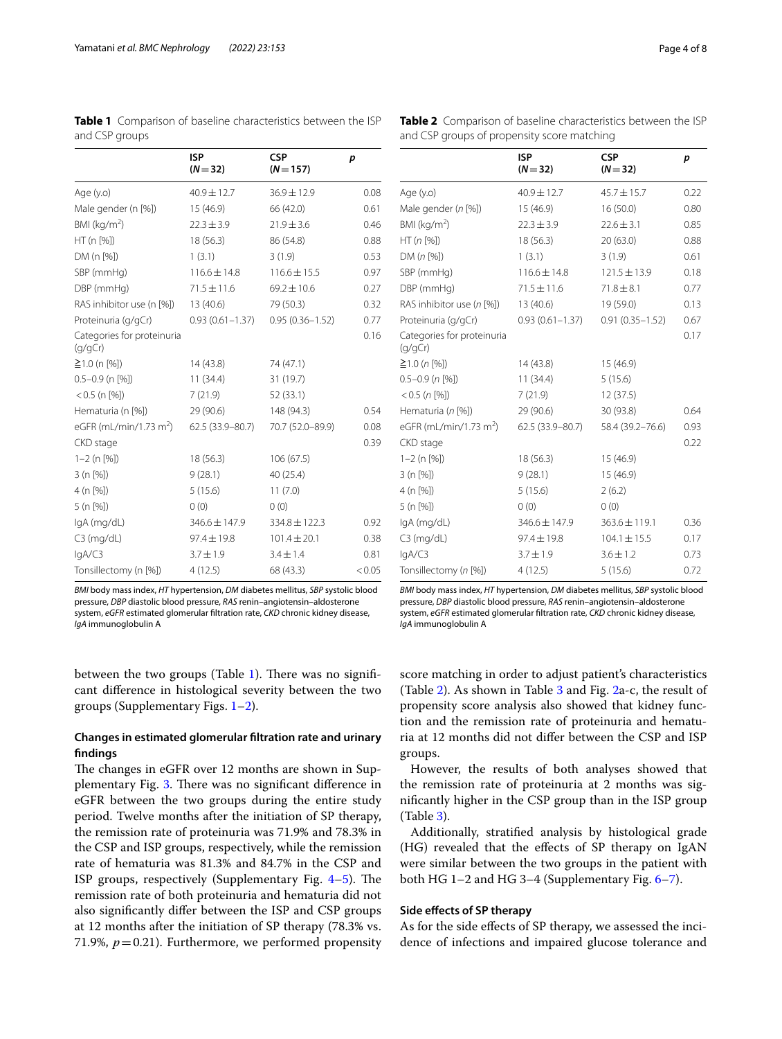|                                       | <b>ISP</b><br>$(N = 32)$ | <b>CSP</b><br>$(N = 157)$ | p      |
|---------------------------------------|--------------------------|---------------------------|--------|
| Age (y.o)                             | $40.9 \pm 12.7$          | $36.9 \pm 12.9$           | 0.08   |
| Male gender (n [%])                   | 15 (46.9)                | 66 (42.0)                 | 0.61   |
| BMI ( $kg/m2$ )                       | $22.3 \pm 3.9$           | $21.9 \pm 3.6$            | 0.46   |
| HT (n [%])                            | 18(56.3)                 | 86 (54.8)                 | 0.88   |
| DM (n [%])                            | 1(3.1)                   | 3(1.9)                    | 0.53   |
| SBP (mmHq)                            | $116.6 \pm 14.8$         | $116.6 \pm 15.5$          | 0.97   |
| DBP (mmHg)                            | $71.5 \pm 11.6$          | $69.2 \pm 10.6$           | 0.27   |
| RAS inhibitor use (n [%])             | 13 (40.6)                | 79 (50.3)                 | 0.32   |
| Proteinuria (g/gCr)                   | $0.93(0.61 - 1.37)$      | $0.95(0.36 - 1.52)$       | 0.77   |
| Categories for proteinuria<br>(q/qCr) |                          |                           | 0.16   |
| ≧1.0 (n [%])                          | 14(43.8)                 | 74 (47.1)                 |        |
| $0.5 - 0.9$ (n [%])                   | 11(34.4)                 | 31 (19.7)                 |        |
| $< 0.5$ (n [%])                       | 7(21.9)                  | 52 (33.1)                 |        |
| Hematuria (n [%])                     | 29 (90.6)                | 148 (94.3)                | 0.54   |
| eGFR (mL/min/1.73 m <sup>2</sup> )    | 62.5 (33.9-80.7)         | 70.7 (52.0-89.9)          | 0.08   |
| CKD stage                             |                          |                           | 0.39   |
| $1-2$ (n $[%]$ )                      | 18(56.3)                 | 106 (67.5)                |        |
| 3 (n [%])                             | 9(28.1)                  | 40 (25.4)                 |        |
| 4 (n [%])                             | 5(15.6)                  | 11(7.0)                   |        |
| 5 (n [%])                             | 0(0)                     | 0(0)                      |        |
| lgA (mg/dL)                           | $346.6 \pm 147.9$        | 334.8 ± 122.3             | 0.92   |
| $C3$ (mg/dL)                          | $97.4 \pm 19.8$          | $101.4 \pm 20.1$          | 0.38   |
| lgA/C3                                | $3.7 \pm 1.9$            | $3.4 \pm 1.4$             | 0.81   |
| Tonsillectomy (n [%])                 | 4(12.5)                  | 68 (43.3)                 | < 0.05 |

<span id="page-3-0"></span>**Table 1** Comparison of baseline characteristics between the ISP and CSP groups

<span id="page-3-1"></span>**Table 2** Comparison of baseline characteristics between the ISP and CSP groups of propensity score matching

| BMI body mass index, HT hypertension, DM diabetes mellitus, SBP systolic blood |  |
|--------------------------------------------------------------------------------|--|
| pressure, DBP diastolic blood pressure, RAS renin-angiotensin-aldosterone      |  |
| system, eGFR estimated glomerular filtration rate, CKD chronic kidney disease, |  |
| <i>laA</i> immunoalobulin A                                                    |  |

between the two groups (Table [1](#page-3-0)). There was no significant diference in histological severity between the two groups (Supplementary Figs. [1–](#page-6-0)[2\)](#page-6-1).

*IgA* 

## **Changes in estimated glomerular fltration rate and urinary fndings**

The changes in eGFR over 12 months are shown in Sup-plementary Fig. [3](#page-6-2). There was no significant difference in eGFR between the two groups during the entire study period. Twelve months after the initiation of SP therapy, the remission rate of proteinuria was 71.9% and 78.3% in the CSP and ISP groups, respectively, while the remission rate of hematuria was 81.3% and 84.7% in the CSP and ISP groups, respectively (Supplementary Fig.  $4-5$ ). The remission rate of both proteinuria and hematuria did not also signifcantly difer between the ISP and CSP groups at 12 months after the initiation of SP therapy (78.3% vs. 71.9%,  $p = 0.21$ ). Furthermore, we performed propensity

|                                       | <b>ISP</b><br>$(N = 32)$ | <b>CSP</b><br>$(N = 32)$ | p    |  |
|---------------------------------------|--------------------------|--------------------------|------|--|
| Age $(y.o)$                           | $40.9 \pm 12.7$          | $45.7 \pm 15.7$          | 0.22 |  |
| Male gender (n [%])                   | 15 (46.9)                | 16(50.0)                 | 0.80 |  |
| BMI ( $kg/m2$ )                       | $22.3 \pm 3.9$           | $22.6 \pm 3.1$           | 0.85 |  |
| HT (n [%])                            | 18(56.3)                 | 20(63.0)                 | 0.88 |  |
| DM (n [%])                            | 1(3.1)                   | 3(1.9)                   | 0.61 |  |
| SBP (mmHg)                            | $116.6 \pm 14.8$         | $121.5 \pm 13.9$         | 0.18 |  |
| DBP (mmHg)                            | $71.5 \pm 11.6$          | $71.8 \pm 8.1$           | 0.77 |  |
| RAS inhibitor use (n [%])             | 13 (40.6)                | 19 (59.0)                | 0.13 |  |
| Proteinuria (g/gCr)                   | $0.93(0.61 - 1.37)$      | $0.91(0.35 - 1.52)$      | 0.67 |  |
| Categories for proteinuria<br>(q/qCr) |                          |                          | 0.17 |  |
| $\geq$ 1.0 (n [%])                    | 14(43.8)                 | 15 (46.9)                |      |  |
| $0.5 - 0.9$ (n [%])                   | 11(34.4)                 | 5(15.6)                  |      |  |
| $< 0.5$ (n [%])                       | 7(21.9)                  | 12(37.5)                 |      |  |
| Hematuria (n [%])                     | 29 (90.6)                | 30 (93.8)                | 0.64 |  |
| eGFR (mL/min/1.73 m <sup>2</sup> )    | 62.5 (33.9-80.7)         | 58.4 (39.2-76.6)         | 0.93 |  |
| CKD stage                             |                          |                          | 0.22 |  |
| $1-2$ (n $[%]$ )                      | 18(56.3)                 | 15 (46.9)                |      |  |
| 3 (n [%])                             | 9(28.1)                  | 15 (46.9)                |      |  |
| 4 (n [%])                             | 5(15.6)                  | 2(6.2)                   |      |  |
| 5 (n [%])                             | 0(0)                     | 0(0)                     |      |  |
| IgA (mg/dL)                           | 346.6 ± 147.9            | 363.6 ± 119.1            | 0.36 |  |
| $C3$ (mg/dL)                          | $97.4 \pm 19.8$          | $104.1 \pm 15.5$         | 0.17 |  |
| lgA/C3                                | $3.7 \pm 1.9$            | $3.6 \pm 1.2$            | 0.73 |  |
| Tonsillectomy (n [%])                 | 4(12.5)                  | 5(15.6)                  | 0.72 |  |

*BMI* body mass index, *HT* hypertension, *DM* diabetes mellitus, *SBP* systolic blood pressure, *DBP* diastolic blood pressure, *RAS* renin–angiotensin–aldosterone system, *eGFR* estimated glomerular fltration rate, *CKD* chronic kidney disease, *IgA* immunoglobulin A

score matching in order to adjust patient's characteristics (Table [2\)](#page-3-1). As shown in Table [3](#page-4-0) and Fig. [2a](#page-5-0)-c, the result of propensity score analysis also showed that kidney function and the remission rate of proteinuria and hematuria at 12 months did not difer between the CSP and ISP groups.

However, the results of both analyses showed that the remission rate of proteinuria at 2 months was signifcantly higher in the CSP group than in the ISP group (Table [3\)](#page-4-0).

Additionally, stratifed analysis by histological grade (HG) revealed that the efects of SP therapy on IgAN were similar between the two groups in the patient with both HG 1–2 and HG 3–4 (Supplementary Fig. [6–](#page-6-5)[7\)](#page-6-6).

## **Side efects of SP therapy**

As for the side efects of SP therapy, we assessed the incidence of infections and impaired glucose tolerance and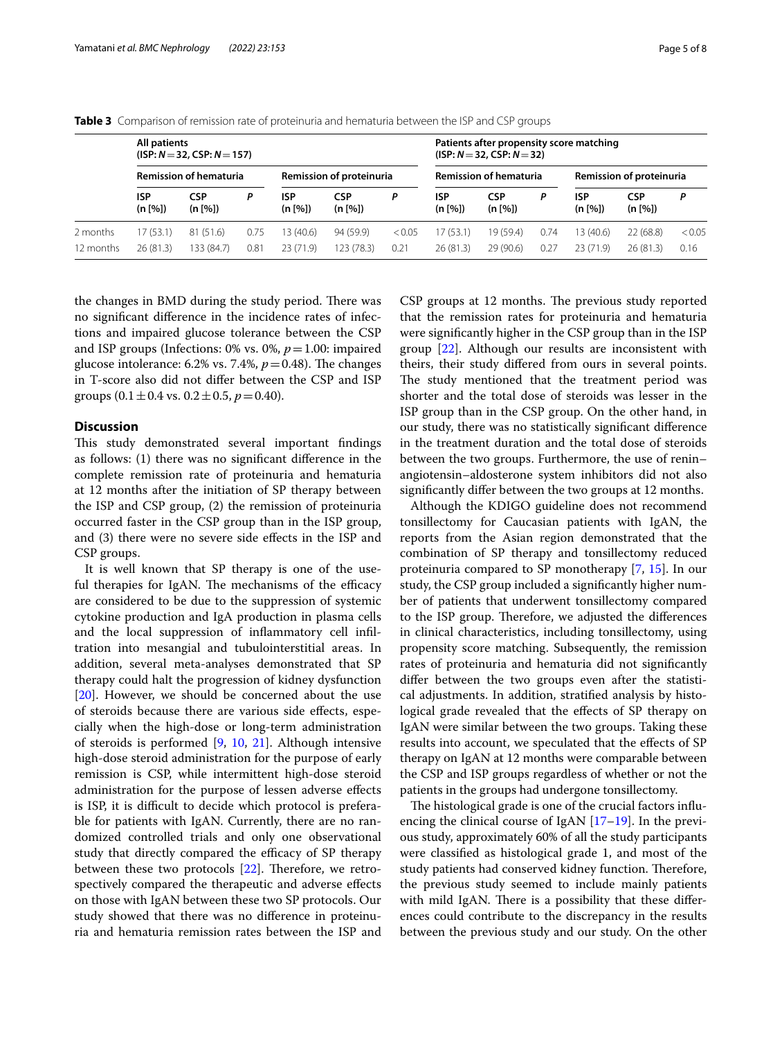|                       | All patients<br>$(ISP: N = 32, CSP: N = 157)$ |                         |              |                          |                         |                               | Patients after propensity score matching<br>$(ISP: N = 32, CSP: N = 32)$ |                                 |              |                       |                       |                |
|-----------------------|-----------------------------------------------|-------------------------|--------------|--------------------------|-------------------------|-------------------------------|--------------------------------------------------------------------------|---------------------------------|--------------|-----------------------|-----------------------|----------------|
|                       | <b>Remission of hematuria</b>                 |                         |              | Remission of proteinuria |                         | <b>Remission of hematuria</b> |                                                                          | <b>Remission of proteinuria</b> |              |                       |                       |                |
|                       | <b>ISP</b><br>(n [%])                         | <b>CSP</b><br>(n [%])   | P            | ISP<br>(n [%])           | CSP<br>(n [%])          | Р                             | ISP<br>(n [%])                                                           | <b>CSP</b><br>(n [%])           | D            | <b>ISP</b><br>(n [%]) | <b>CSP</b><br>(n [%]) | P              |
| 2 months<br>12 months | 17 (53.1)<br>26(81.3)                         | 81 (51.6)<br>133 (84.7) | 0.75<br>0.81 | 13 (40.6)<br>23(71.9)    | 94 (59.9)<br>123 (78.3) | < 0.05<br>0.21                | 17 (53.1)<br>26(81.3)                                                    | 19 (59.4)<br>29(90.6)           | 0.74<br>0.27 | 13 (40.6)<br>23(71.9) | 22(68.8)<br>26(81.3)  | < 0.05<br>0.16 |

<span id="page-4-0"></span>**Table 3** Comparison of remission rate of proteinuria and hematuria between the ISP and CSP groups

the changes in BMD during the study period. There was no signifcant diference in the incidence rates of infections and impaired glucose tolerance between the CSP and ISP groups (Infections: 0% vs. 0%, *p*=1.00: impaired glucose intolerance: 6.2% vs. 7.4%,  $p = 0.48$ ). The changes in T-score also did not difer between the CSP and ISP groups  $(0.1 \pm 0.4 \text{ vs. } 0.2 \pm 0.5, p = 0.40)$ .

## **Discussion**

This study demonstrated several important findings as follows: (1) there was no signifcant diference in the complete remission rate of proteinuria and hematuria at 12 months after the initiation of SP therapy between the ISP and CSP group, (2) the remission of proteinuria occurred faster in the CSP group than in the ISP group, and (3) there were no severe side efects in the ISP and CSP groups.

It is well known that SP therapy is one of the useful therapies for IgAN. The mechanisms of the efficacy are considered to be due to the suppression of systemic cytokine production and IgA production in plasma cells and the local suppression of infammatory cell infltration into mesangial and tubulointerstitial areas. In addition, several meta-analyses demonstrated that SP therapy could halt the progression of kidney dysfunction [[20\]](#page-7-14). However, we should be concerned about the use of steroids because there are various side efects, especially when the high-dose or long-term administration of steroids is performed [\[9](#page-7-6), [10](#page-7-15), [21](#page-7-16)]. Although intensive high-dose steroid administration for the purpose of early remission is CSP, while intermittent high-dose steroid administration for the purpose of lessen adverse efects is ISP, it is difficult to decide which protocol is preferable for patients with IgAN. Currently, there are no randomized controlled trials and only one observational study that directly compared the efficacy of SP therapy between these two protocols  $[22]$  $[22]$ . Therefore, we retrospectively compared the therapeutic and adverse efects on those with IgAN between these two SP protocols. Our study showed that there was no diference in proteinuria and hematuria remission rates between the ISP and CSP groups at 12 months. The previous study reported that the remission rates for proteinuria and hematuria were signifcantly higher in the CSP group than in the ISP group [[22](#page-7-17)]. Although our results are inconsistent with theirs, their study difered from ours in several points. The study mentioned that the treatment period was shorter and the total dose of steroids was lesser in the ISP group than in the CSP group. On the other hand, in our study, there was no statistically signifcant diference in the treatment duration and the total dose of steroids between the two groups. Furthermore, the use of renin– angiotensin–aldosterone system inhibitors did not also signifcantly difer between the two groups at 12 months.

Although the KDIGO guideline does not recommend tonsillectomy for Caucasian patients with IgAN, the reports from the Asian region demonstrated that the combination of SP therapy and tonsillectomy reduced proteinuria compared to SP monotherapy [\[7,](#page-7-4) [15](#page-7-9)]. In our study, the CSP group included a signifcantly higher number of patients that underwent tonsillectomy compared to the ISP group. Therefore, we adjusted the differences in clinical characteristics, including tonsillectomy, using propensity score matching. Subsequently, the remission rates of proteinuria and hematuria did not signifcantly difer between the two groups even after the statistical adjustments. In addition, stratifed analysis by histological grade revealed that the efects of SP therapy on IgAN were similar between the two groups. Taking these results into account, we speculated that the efects of SP therapy on IgAN at 12 months were comparable between the CSP and ISP groups regardless of whether or not the patients in the groups had undergone tonsillectomy.

The histological grade is one of the crucial factors influencing the clinical course of IgAN [\[17](#page-7-12)[–19](#page-7-13)]. In the previous study, approximately 60% of all the study participants were classifed as histological grade 1, and most of the study patients had conserved kidney function. Therefore, the previous study seemed to include mainly patients with mild IgAN. There is a possibility that these differences could contribute to the discrepancy in the results between the previous study and our study. On the other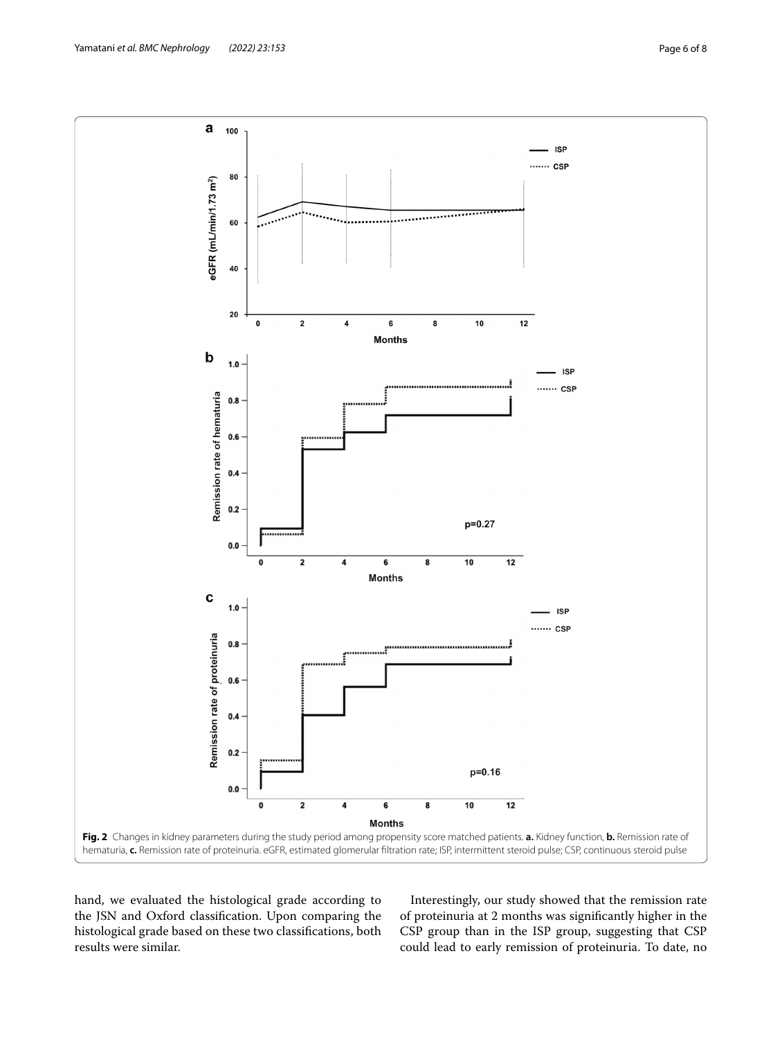

<span id="page-5-0"></span>hand, we evaluated the histological grade according to the JSN and Oxford classifcation. Upon comparing the histological grade based on these two classifcations, both results were similar.

Interestingly, our study showed that the remission rate of proteinuria at 2 months was signifcantly higher in the CSP group than in the ISP group, suggesting that CSP could lead to early remission of proteinuria. To date, no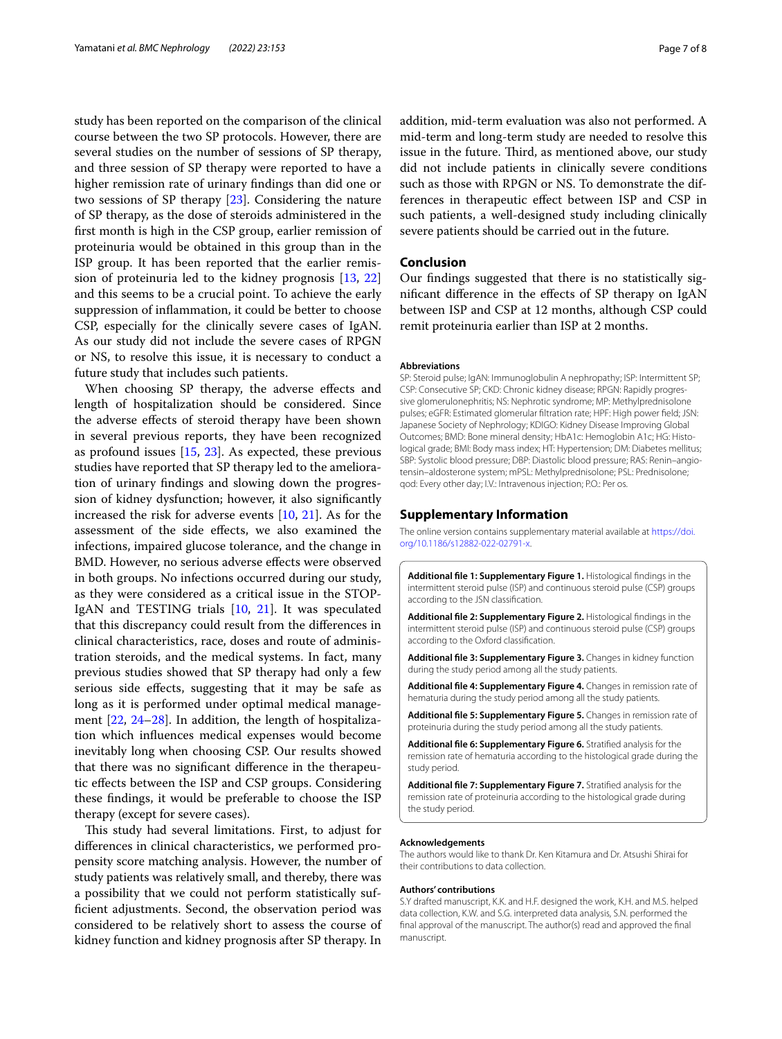study has been reported on the comparison of the clinical course between the two SP protocols. However, there are several studies on the number of sessions of SP therapy, and three session of SP therapy were reported to have a higher remission rate of urinary fndings than did one or two sessions of SP therapy [\[23](#page-7-18)]. Considering the nature of SP therapy, as the dose of steroids administered in the frst month is high in the CSP group, earlier remission of proteinuria would be obtained in this group than in the ISP group. It has been reported that the earlier remission of proteinuria led to the kidney prognosis [[13,](#page-7-7) [22](#page-7-17)] and this seems to be a crucial point. To achieve the early suppression of infammation, it could be better to choose CSP, especially for the clinically severe cases of IgAN. As our study did not include the severe cases of RPGN or NS, to resolve this issue, it is necessary to conduct a future study that includes such patients.

When choosing SP therapy, the adverse efects and length of hospitalization should be considered. Since the adverse efects of steroid therapy have been shown in several previous reports, they have been recognized as profound issues [\[15](#page-7-9), [23\]](#page-7-18). As expected, these previous studies have reported that SP therapy led to the amelioration of urinary fndings and slowing down the progression of kidney dysfunction; however, it also signifcantly increased the risk for adverse events [[10,](#page-7-15) [21\]](#page-7-16). As for the assessment of the side efects, we also examined the infections, impaired glucose tolerance, and the change in BMD. However, no serious adverse efects were observed in both groups. No infections occurred during our study, as they were considered as a critical issue in the STOP-IgAN and TESTING trials [\[10,](#page-7-15) [21\]](#page-7-16). It was speculated that this discrepancy could result from the diferences in clinical characteristics, race, doses and route of administration steroids, and the medical systems. In fact, many previous studies showed that SP therapy had only a few serious side efects, suggesting that it may be safe as long as it is performed under optimal medical management [\[22](#page-7-17), [24–](#page-7-19)[28](#page-7-20)]. In addition, the length of hospitalization which infuences medical expenses would become inevitably long when choosing CSP. Our results showed that there was no signifcant diference in the therapeutic efects between the ISP and CSP groups. Considering these fndings, it would be preferable to choose the ISP therapy (except for severe cases).

This study had several limitations. First, to adjust for diferences in clinical characteristics, we performed propensity score matching analysis. However, the number of study patients was relatively small, and thereby, there was a possibility that we could not perform statistically sufficient adjustments. Second, the observation period was considered to be relatively short to assess the course of kidney function and kidney prognosis after SP therapy. In addition, mid-term evaluation was also not performed. A mid-term and long-term study are needed to resolve this issue in the future. Third, as mentioned above, our study did not include patients in clinically severe conditions such as those with RPGN or NS. To demonstrate the differences in therapeutic efect between ISP and CSP in such patients, a well-designed study including clinically severe patients should be carried out in the future.

## **Conclusion**

Our fndings suggested that there is no statistically signifcant diference in the efects of SP therapy on IgAN between ISP and CSP at 12 months, although CSP could remit proteinuria earlier than ISP at 2 months.

#### **Abbreviations**

SP: Steroid pulse; IgAN: Immunoglobulin A nephropathy; ISP: Intermittent SP; CSP: Consecutive SP; CKD: Chronic kidney disease; RPGN: Rapidly progressive glomerulonephritis; NS: Nephrotic syndrome; MP: Methylprednisolone pulses; eGFR: Estimated glomerular fltration rate; HPF: High power feld; JSN: Japanese Society of Nephrology; KDIGO: Kidney Disease Improving Global Outcomes; BMD: Bone mineral density; HbA1c: Hemoglobin A1c; HG: Histological grade; BMI: Body mass index; HT: Hypertension; DM: Diabetes mellitus; SBP: Systolic blood pressure; DBP: Diastolic blood pressure; RAS: Renin–angiotensin–aldosterone system; mPSL: Methylprednisolone; PSL: Prednisolone; qod: Every other day; I.V.: Intravenous injection; P.O.: Per os.

#### **Supplementary Information**

The online version contains supplementary material available at [https://doi.](https://doi.org/10.1186/s12882-022-02791-x) [org/10.1186/s12882-022-02791-x.](https://doi.org/10.1186/s12882-022-02791-x)

<span id="page-6-0"></span>**Additional fle 1: Supplementary Figure 1.** Histological fndings in the intermittent steroid pulse (ISP) and continuous steroid pulse (CSP) groups according to the JSN classifcation.

<span id="page-6-1"></span>**Additional fle 2: Supplementary Figure 2.** Histological fndings in the intermittent steroid pulse (ISP) and continuous steroid pulse (CSP) groups according to the Oxford classifcation.

<span id="page-6-3"></span><span id="page-6-2"></span>**Additional fle 3: Supplementary Figure 3.** Changes in kidney function during the study period among all the study patients.

<span id="page-6-4"></span>**Additional fle 4: Supplementary Figure 4.** Changes in remission rate of hematuria during the study period among all the study patients.

<span id="page-6-5"></span>**Additional fle 5: Supplementary Figure 5.** Changes in remission rate of proteinuria during the study period among all the study patients.

**Additional fle 6: Supplementary Figure 6.** Stratifed analysis for the remission rate of hematuria according to the histological grade during the study period.

<span id="page-6-6"></span>**Additional fle 7: Supplementary Figure 7.** Stratifed analysis for the remission rate of proteinuria according to the histological grade during the study period.

#### **Acknowledgements**

The authors would like to thank Dr. Ken Kitamura and Dr. Atsushi Shirai for their contributions to data collection.

#### **Authors' contributions**

S.Y drafted manuscript, K.K. and H.F. designed the work, K.H. and M.S. helped data collection, K.W. and S.G. interpreted data analysis, S.N. performed the fnal approval of the manuscript. The author(s) read and approved the fnal manuscript.